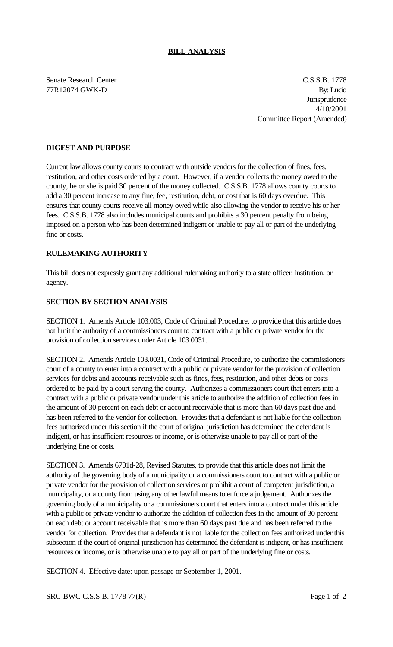### **BILL ANALYSIS**

Senate Research Center C.S.S.B. 1778 77R12074 GWK-D By: Lucio **Jurisprudence** 4/10/2001 Committee Report (Amended)

## **DIGEST AND PURPOSE**

Current law allows county courts to contract with outside vendors for the collection of fines, fees, restitution, and other costs ordered by a court. However, if a vendor collects the money owed to the county, he or she is paid 30 percent of the money collected. C.S.S.B. 1778 allows county courts to add a 30 percent increase to any fine, fee, restitution, debt, or cost that is 60 days overdue. This ensures that county courts receive all money owed while also allowing the vendor to receive his or her fees. C.S.S.B. 1778 also includes municipal courts and prohibits a 30 percent penalty from being imposed on a person who has been determined indigent or unable to pay all or part of the underlying fine or costs.

### **RULEMAKING AUTHORITY**

This bill does not expressly grant any additional rulemaking authority to a state officer, institution, or agency.

#### **SECTION BY SECTION ANALYSIS**

SECTION 1. Amends Article 103.003, Code of Criminal Procedure, to provide that this article does not limit the authority of a commissioners court to contract with a public or private vendor for the provision of collection services under Article 103.0031.

SECTION 2. Amends Article 103.0031, Code of Criminal Procedure, to authorize the commissioners court of a county to enter into a contract with a public or private vendor for the provision of collection services for debts and accounts receivable such as fines, fees, restitution, and other debts or costs ordered to be paid by a court serving the county. Authorizes a commissioners court that enters into a contract with a public or private vendor under this article to authorize the addition of collection fees in the amount of 30 percent on each debt or account receivable that is more than 60 days past due and has been referred to the vendor for collection. Provides that a defendant is not liable for the collection fees authorized under this section if the court of original jurisdiction has determined the defendant is indigent, or has insufficient resources or income, or is otherwise unable to pay all or part of the underlying fine or costs.

SECTION 3. Amends 6701d-28, Revised Statutes, to provide that this article does not limit the authority of the governing body of a municipality or a commissioners court to contract with a public or private vendor for the provision of collection services or prohibit a court of competent jurisdiction, a municipality, or a county from using any other lawful means to enforce a judgement. Authorizes the governing body of a municipality or a commissioners court that enters into a contract under this article with a public or private vendor to authorize the addition of collection fees in the amount of 30 percent on each debt or account receivable that is more than 60 days past due and has been referred to the vendor for collection. Provides that a defendant is not liable for the collection fees authorized under this subsection if the court of original jurisdiction has determined the defendant is indigent, or has insufficient resources or income, or is otherwise unable to pay all or part of the underlying fine or costs.

SECTION 4. Effective date: upon passage or September 1, 2001.